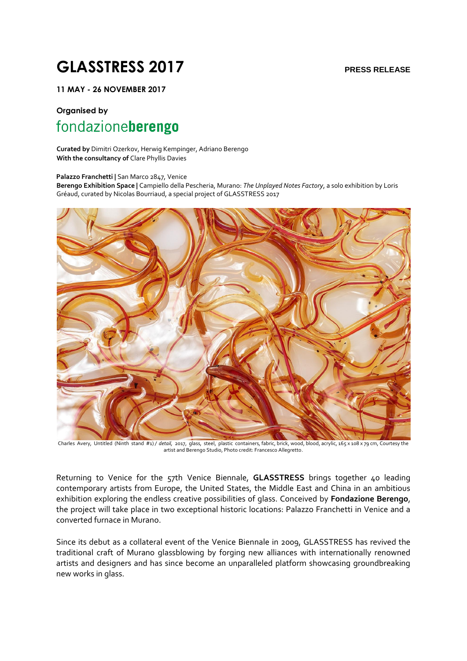# **GLASSTRESS 2017 PRESS RELEASE**

**11 MAY - 26 NOVEMBER 2017** 

## **Organised by**  fondazioneberengo

**Curated by** Dimitri Ozerkov, Herwig Kempinger, Adriano Berengo **With the consultancy of** Clare Phyllis Davies

**Palazzo Franchetti |** San Marco 2847, Venice

**Berengo Exhibition Space |** Campiello della Pescheria, Murano: *The Unplayed Notes Factory*, a solo exhibition by Loris Gréaud, curated by Nicolas Bourriaud, a special project of GLASSTRESS 2017



Charles Avery, Untitled (Ninth stand #1) */ detail,* 2017, glass, steel, plastic containers, fabric, brick, wood, blood, acrylic, 165 x 108 x 79 cm, Courtesy the artist and Berengo Studio, Photo credit: Francesco Allegretto.

Returning to Venice for the 57th Venice Biennale, **GLASSTRESS** brings together 40 leading contemporary artists from Europe, the United States, the Middle East and China in an ambitious exhibition exploring the endless creative possibilities of glass. Conceived by **Fondazione Berengo**, the project will take place in two exceptional historic locations: Palazzo Franchetti in Venice and a converted furnace in Murano.

Since its debut as a collateral event of the Venice Biennale in 2009, GLASSTRESS has revived the traditional craft of Murano glassblowing by forging new alliances with internationally renowned artists and designers and has since become an unparalleled platform showcasing groundbreaking new works in glass.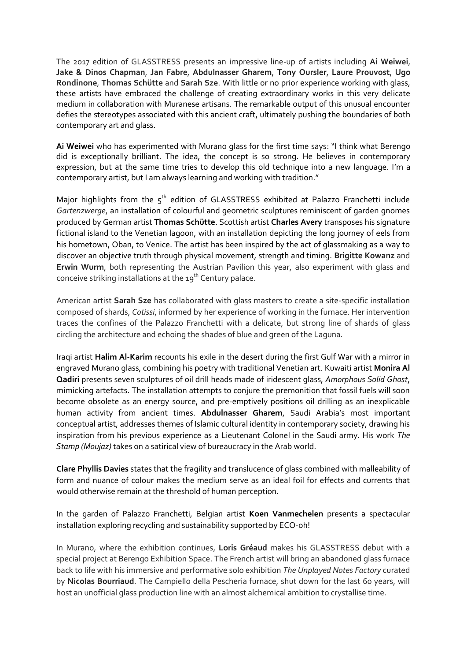The 2017 edition of GLASSTRESS presents an impressive line-up of artists including **Ai Weiwei**, **Jake & Dinos Chapman**, **Jan Fabre**, **Abdulnasser Gharem**, **Tony Oursler**, **Laure Prouvost**, **Ugo Rondinone**, **Thomas Schütte** and **Sarah Sze**. With little or no prior experience working with glass, these artists have embraced the challenge of creating extraordinary works in this very delicate medium in collaboration with Muranese artisans. The remarkable output of this unusual encounter defies the stereotypes associated with this ancient craft, ultimately pushing the boundaries of both contemporary art and glass.

**Ai Weiwei** who has experimented with Murano glass for the first time says: "I think what Berengo did is exceptionally brilliant. The idea, the concept is so strong. He believes in contemporary expression, but at the same time tries to develop this old technique into a new language. I'm a contemporary artist, but I am always learning and working with tradition."

Major highlights from the  $5<sup>th</sup>$  edition of GLASSTRESS exhibited at Palazzo Franchetti include *Gartenzwerge*, an installation of colourful and geometric sculptures reminiscent of garden gnomes produced by German artist **Thomas Schütte**. Scottish artist **Charles Avery** transposes his signature fictional island to the Venetian lagoon, with an installation depicting the long journey of eels from his hometown, Oban, to Venice. The artist has been inspired by the act of glassmaking as a way to discover an objective truth through physical movement, strength and timing. **Brigitte Kowanz** and **Erwin Wurm**, both representing the Austrian Pavilion this year, also experiment with glass and conceive striking installations at the  $19<sup>th</sup>$  Century palace.

American artist **Sarah Sze** has collaborated with glass masters to create a site-specific installation composed of shards, *Cotissi*, informed by her experience of working in the furnace. Her intervention traces the confines of the Palazzo Franchetti with a delicate, but strong line of shards of glass circling the architecture and echoing the shades of blue and green of the Laguna.

Iraqi artist **Halim Al-Karim** recounts his exile in the desert during the first Gulf War with a mirror in engraved Murano glass, combining his poetry with traditional Venetian art. Kuwaiti artist **Monira Al Qadiri** presents seven sculptures of oil drill heads made of iridescent glass, *Amorphous Solid Ghost*, mimicking artefacts. The installation attempts to conjure the premonition that fossil fuels will soon become obsolete as an energy source, and pre-emptively positions oil drilling as an inexplicable human activity from ancient times. **Abdulnasser Gharem**, Saudi Arabia's most important conceptual artist, addresses themes of Islamic cultural identity in contemporary society, drawing his inspiration from his previous experience as a Lieutenant Colonel in the Saudi army. His work *The Stamp (Moujaz)* takes on a satirical view of bureaucracy in the Arab world.

**Clare Phyllis Davies** states that the fragility and translucence of glass combined with malleability of form and nuance of colour makes the medium serve as an ideal foil for effects and currents that would otherwise remain at the threshold of human perception.

In the garden of Palazzo Franchetti, Belgian artist **Koen Vanmechelen** presents a spectacular installation exploring recycling and sustainability supported by ECO-oh!

In Murano, where the exhibition continues, **Loris Gréaud** makes his GLASSTRESS debut with a special project at Berengo Exhibition Space. The French artist will bring an abandoned glass furnace back to life with his immersive and performative solo exhibition *The Unplayed Notes Factory* curated by **Nicolas Bourriaud**. The Campiello della Pescheria furnace, shut down for the last 60 years, will host an unofficial glass production line with an almost alchemical ambition to crystallise time.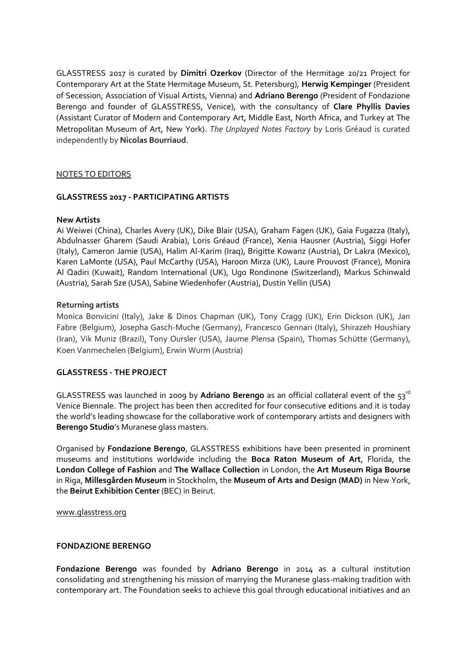GLASSTRESS 2017 is curated by **Dimitri Ozerkov** (Director of the Hermitage 20/21 Project for Contemporary Art at the State Hermitage Museum, St. Petersburg), **Herwig Kempinger** (President of Secession, Association of Visual Artists, Vienna) and **Adriano Berengo** (President of Fondazione Berengo and founder of GLASSTRESS, Venice), with the consultancy of **Clare Phyllis Davies** (Assistant Curator of Modern and Contemporary Art, Middle East, North Africa, and Turkey at The Metropolitan Museum of Art, New York). *The Unplayed Notes Factory* by Loris Gréaud is curated independently by **Nicolas Bourriaud**.

#### NOTES TO EDITORS

#### **GLASSTRESS 2017 - PARTICIPATING ARTISTS**

#### **New Artists**

Ai Weiwei (China), Charles Avery (UK), Dike Blair (USA), Graham Fagen (UK), Gaia Fugazza (Italy), Abdulnasser Gharem (Saudi Arabia), Loris Gréaud (France), Xenia Hausner (Austria), Siggi Hofer (Italy), Cameron Jamie (USA), Halim Al-Karim (Iraq), Brigitte Kowanz (Austria), Dr Lakra (Mexico), Karen LaMonte (USA), Paul McCarthy (USA), Haroon Mirza (UK), Laure Prouvost (France), Monira Al Qadiri (Kuwait), Random International (UK), Ugo Rondinone (Switzerland), Markus Schinwald (Austria), Sarah Sze (USA), Sabine Wiedenhofer (Austria), Dustin Yellin (USA)

#### **Returning artists**

Monica Bonvicini (Italy), Jake & Dinos Chapman (UK), Tony Cragg (UK), Erin Dickson (UK), Jan Fabre (Belgium), Josepha Gasch-Muche (Germany), Francesco Gennari (Italy), Shirazeh Houshiary (Iran), Vik Muniz (Brazil), Tony Oursler (USA), Jaume Plensa (Spain), Thomas Schütte (Germany), Koen Vanmechelen (Belgium), Erwin Wurm (Austria)

#### **GLASSTRESS - THE PROJECT**

GLASSTRESS was launched in 2009 by **Adriano Berengo** as an official collateral event of the 53rd Venice Biennale. The project has been then accredited for four consecutive editions and it is today the world's leading showcase for the collaborative work of contemporary artists and designers with **Berengo Studio**'s Muranese glass masters.

Organised by **Fondazione Berengo**, GLASSTRESS exhibitions have been presented in prominent museums and institutions worldwide including the **Boca Raton Museum of Art**, Florida, the **London College of Fashion** and **The Wallace Collection** in London, the **Art Museum Riga Bourse**  in Riga, **Millesgården Museum** in Stockholm, the **Museum of Arts and Design (MAD)** in New York, the **Beirut Exhibition Center** (BEC) in Beirut.

[www.glasstress.org](http://www.glasstress.org/)

#### **FONDAZIONE BERENGO**

**Fondazione Berengo** was founded by **Adriano Berengo** in 2014 as a cultural institution consolidating and strengthening his mission of marrying the Muranese glass-making tradition with contemporary art. The Foundation seeks to achieve this goal through educational initiatives and an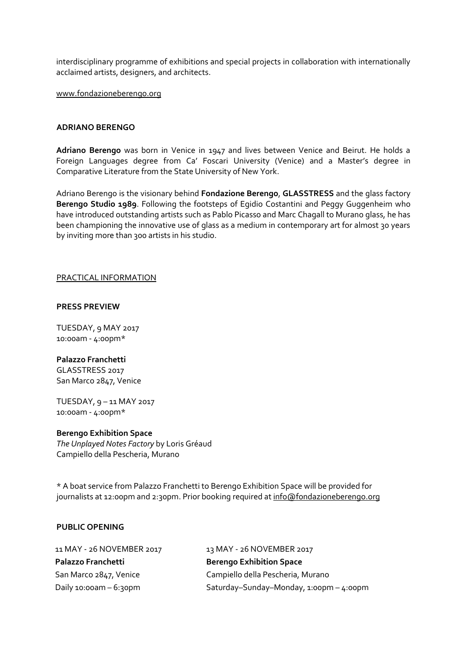interdisciplinary programme of exhibitions and special projects in collaboration with internationally acclaimed artists, designers, and architects.

[www.fondazioneberengo.org](http://www.fondazioneberengo.org/)

#### **ADRIANO BERENGO**

**Adriano Berengo** was born in Venice in 1947 and lives between Venice and Beirut. He holds a Foreign Languages degree from Ca' Foscari University (Venice) and a Master's degree in Comparative Literature from the State University of New York.

Adriano Berengo is the visionary behind **Fondazione Berengo**, **GLASSTRESS** and the glass factory **Berengo Studio 1989**. Following the footsteps of Egidio Costantini and Peggy Guggenheim who have introduced outstanding artists such as Pablo Picasso and Marc Chagall to Murano glass, he has been championing the innovative use of glass as a medium in contemporary art for almost 30 years by inviting more than 300 artists in his studio.

#### PRACTICAL INFORMATION

#### **PRESS PREVIEW**

TUESDAY, 9 MAY 2017 10:00am - 4:00pm\*

#### **Palazzo Franchetti**

GLASSTRESS 2017 San Marco 2847, Venice

TUESDAY, 9 – 11 MAY 2017 10:00am - 4:00pm\*

#### **Berengo Exhibition Space**

*The Unplayed Notes Factory* by Loris Gréaud Campiello della Pescheria, Murano

\* A boat service from Palazzo Franchetti to Berengo Exhibition Space will be provided for journalists at 12:00pm and 2:30pm. Prior booking required a[t info@fondazioneberengo.org](mailto:info@fondazioneberengo.org)

#### **PUBLIC OPENING**

| 11 MAY - 26 NOVEMBER 2017<br>Palazzo Franchetti | 13 MAY - 26 NOVEMBER 2017<br><b>Berengo Exhibition Space</b> |
|-------------------------------------------------|--------------------------------------------------------------|
|                                                 |                                                              |
| Daily $10:00$ am $-6:30$ pm                     | Saturday-Sunday-Monday, 1:00pm - 4:00pm                      |